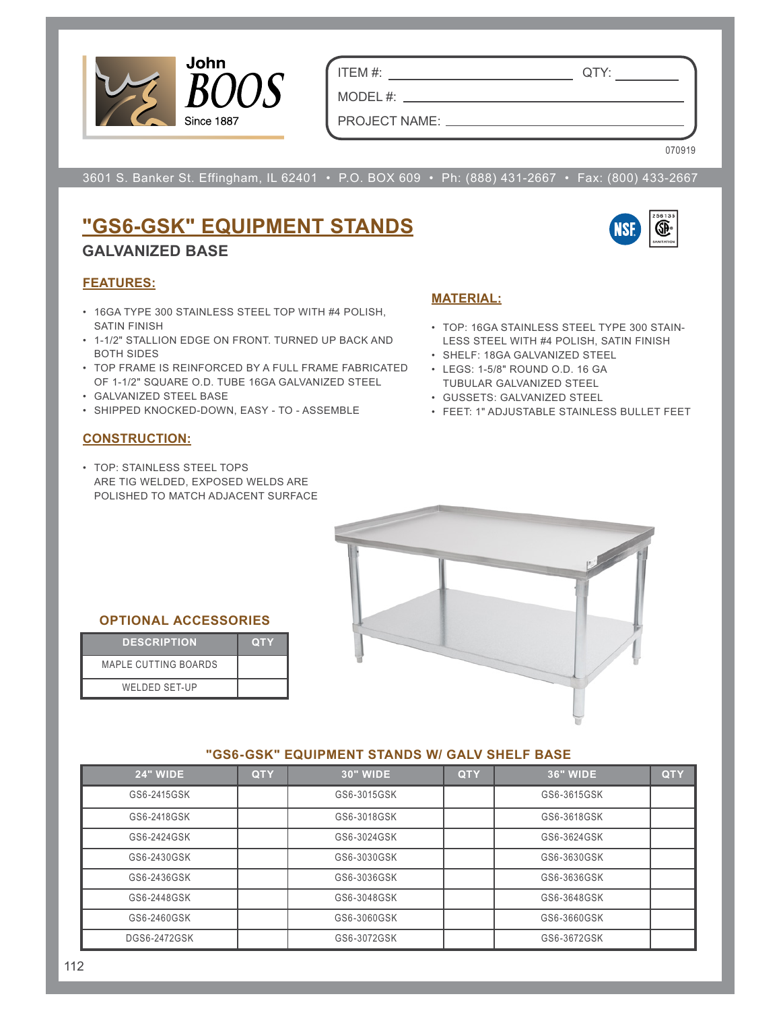

ITEM #: QTY:

PROJECT NAME:

MODEL #: \_\_

070919

3601 S. Banker St. Effingham, IL 62401 • P.O. BOX 609 • Ph: (888) 431-2667 • Fax: (800) 433-2667

# **"GS6-GSK" EQUIPMENT STANDS GALVANIZED BASE**



## **FEATURES:**

- 16GA TYPE 300 STAINLESS STEEL TOP WITH #4 POLISH, SATIN FINISH
- 1-1/2" STALLION EDGE ON FRONT. TURNED UP BACK AND BOTH SIDES
- TOP FRAME IS REINFORCED BY A FULL FRAME FABRICATED OF 1-1/2" SQUARE O.D. TUBE 16GA GALVANIZED STEEL
- GALVANIZED STEEL BASE
- SHIPPED KNOCKED-DOWN, EASY TO ASSEMBLE

#### **CONSTRUCTION:**

• TOP: STAINLESS STEEL TOPS ARE TIG WELDED, EXPOSED WELDS ARE POLISHED TO MATCH ADJACENT SURFACE

# **MATERIAL:**

- TOP: 16GA STAINLESS STEEL TYPE 300 STAIN-LESS STEEL WITH #4 POLISH, SATIN FINISH
- SHELF: 18GA GALVANIZED STEEL
- LEGS: 1-5/8" ROUND O.D. 16 GA TUBULAR GALVANIZED STEEL
- GUSSETS: GALVANIZED STEEL
- FEET: 1" ADJUSTABLE STAINLESS BULLET FEET



#### **OPTIONAL ACCESSORIES**

| <b>DESCRIPTION</b>          | <b>QTY</b> |
|-----------------------------|------------|
| <b>MAPLE CUTTING BOARDS</b> |            |
| WELDED SET-UP               |            |

#### **"GS6-GSK" EQUIPMENT STANDS W/ GALV SHELF BASE**

| <b>24" WIDE</b>     | <b>QTY</b> | <b>30" WIDE</b> | <b>QTY</b> | <b>36" WIDE</b> | <b>QTY</b> |
|---------------------|------------|-----------------|------------|-----------------|------------|
| GS6-2415GSK         |            | GS6-3015GSK     |            | GS6-3615GSK     |            |
| GS6-2418GSK         |            | GS6-3018GSK     |            | GS6-3618GSK     |            |
| GS6-2424GSK         |            | GS6-3024GSK     |            | GS6-3624GSK     |            |
| GS6-2430GSK         |            | GS6-3030GSK     |            | GS6-3630GSK     |            |
| GS6-2436GSK         |            | GS6-3036GSK     |            | GS6-3636GSK     |            |
| GS6-2448GSK         |            | GS6-3048GSK     |            | GS6-3648GSK     |            |
| GS6-2460GSK         |            | GS6-3060GSK     |            | GS6-3660GSK     |            |
| <b>DGS6-2472GSK</b> |            | GS6-3072GSK     |            | GS6-3672GSK     |            |